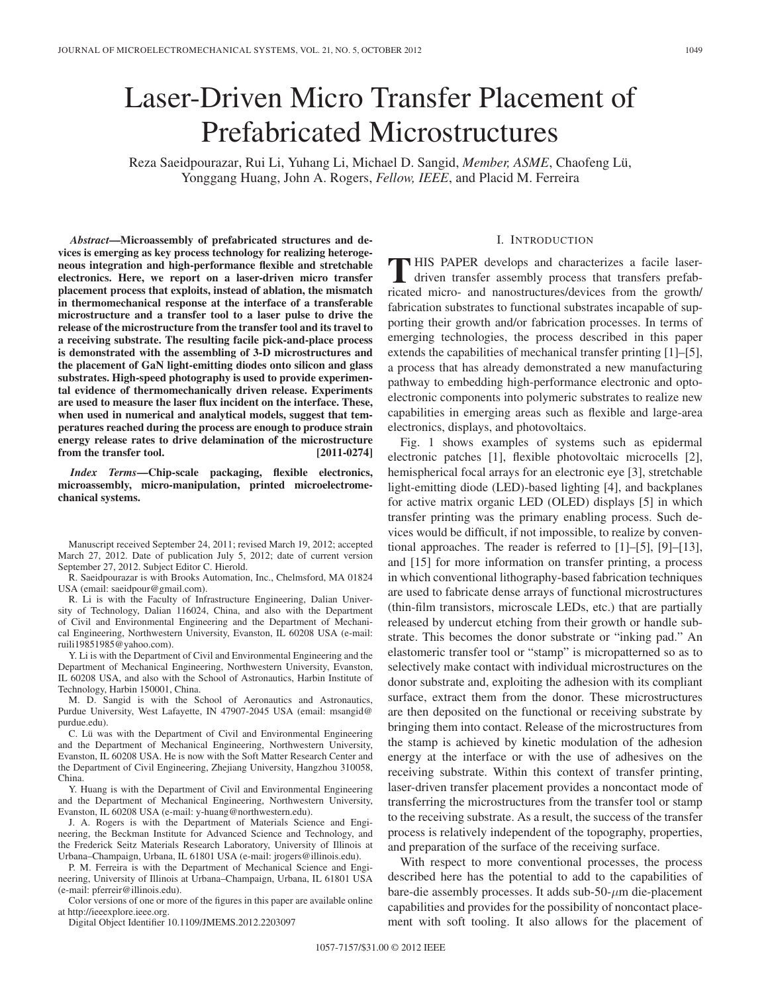# Laser-Driven Micro Transfer Placement of Prefabricated Microstructures

Reza Saeidpourazar, Rui Li, Yuhang Li, Michael D. Sangid, *Member, ASME*, Chaofeng Lü, Yonggang Huang, John A. Rogers, *Fellow, IEEE*, and Placid M. Ferreira

*Abstract***—Microassembly of prefabricated structures and devices is emerging as key process technology for realizing heterogeneous integration and high-performance flexible and stretchable electronics. Here, we report on a laser-driven micro transfer placement process that exploits, instead of ablation, the mismatch in thermomechanical response at the interface of a transferable microstructure and a transfer tool to a laser pulse to drive the release of the microstructure from the transfer tool and its travel to a receiving substrate. The resulting facile pick-and-place process is demonstrated with the assembling of 3-D microstructures and the placement of GaN light-emitting diodes onto silicon and glass substrates. High-speed photography is used to provide experimental evidence of thermomechanically driven release. Experiments are used to measure the laser flux incident on the interface. These, when used in numerical and analytical models, suggest that temperatures reached during the process are enough to produce strain energy release rates to drive delamination of the microstructure from the transfer tool.** [2011-0274]

*Index Terms***—Chip-scale packaging, flexible electronics, microassembly, micro-manipulation, printed microelectromechanical systems.**

Manuscript received September 24, 2011; revised March 19, 2012; accepted March 27, 2012. Date of publication July 5, 2012; date of current version September 27, 2012. Subject Editor C. Hierold.

R. Saeidpourazar is with Brooks Automation, Inc., Chelmsford, MA 01824 USA (email: saeidpour@gmail.com).

R. Li is with the Faculty of Infrastructure Engineering, Dalian University of Technology, Dalian 116024, China, and also with the Department of Civil and Environmental Engineering and the Department of Mechanical Engineering, Northwestern University, Evanston, IL 60208 USA (e-mail: ruili19851985@yahoo.com).

Y. Li is with the Department of Civil and Environmental Engineering and the Department of Mechanical Engineering, Northwestern University, Evanston, IL 60208 USA, and also with the School of Astronautics, Harbin Institute of Technology, Harbin 150001, China.

M. D. Sangid is with the School of Aeronautics and Astronautics, Purdue University, West Lafayette, IN 47907-2045 USA (email: msangid@ purdue.edu).

C. Lü was with the Department of Civil and Environmental Engineering and the Department of Mechanical Engineering, Northwestern University, Evanston, IL 60208 USA. He is now with the Soft Matter Research Center and the Department of Civil Engineering, Zhejiang University, Hangzhou 310058, China.

Y. Huang is with the Department of Civil and Environmental Engineering and the Department of Mechanical Engineering, Northwestern University, Evanston, IL 60208 USA (e-mail: y-huang@northwestern.edu).

J. A. Rogers is with the Department of Materials Science and Engineering, the Beckman Institute for Advanced Science and Technology, and the Frederick Seitz Materials Research Laboratory, University of Illinois at Urbana–Champaign, Urbana, IL 61801 USA (e-mail: jrogers@illinois.edu).

P. M. Ferreira is with the Department of Mechanical Science and Engineering, University of Illinois at Urbana–Champaign, Urbana, IL 61801 USA (e-mail: pferreir@illinois.edu).

Color versions of one or more of the figures in this paper are available online at http://ieeexplore.ieee.org.

Digital Object Identifier 10.1109/JMEMS.2012.2203097

#### I. INTRODUCTION

**T** HIS PAPER develops and characterizes a facile laserdriven transfer assembly process that transfers prefabricated micro- and nanostructures/devices from the growth/ fabrication substrates to functional substrates incapable of supporting their growth and/or fabrication processes. In terms of emerging technologies, the process described in this paper extends the capabilities of mechanical transfer printing [1]–[5], a process that has already demonstrated a new manufacturing pathway to embedding high-performance electronic and optoelectronic components into polymeric substrates to realize new capabilities in emerging areas such as flexible and large-area electronics, displays, and photovoltaics.

Fig. 1 shows examples of systems such as epidermal electronic patches [1], flexible photovoltaic microcells [2], hemispherical focal arrays for an electronic eye [3], stretchable light-emitting diode (LED)-based lighting [4], and backplanes for active matrix organic LED (OLED) displays [5] in which transfer printing was the primary enabling process. Such devices would be difficult, if not impossible, to realize by conventional approaches. The reader is referred to [1]–[5], [9]–[13], and [15] for more information on transfer printing, a process in which conventional lithography-based fabrication techniques are used to fabricate dense arrays of functional microstructures (thin-film transistors, microscale LEDs, etc.) that are partially released by undercut etching from their growth or handle substrate. This becomes the donor substrate or "inking pad." An elastomeric transfer tool or "stamp" is micropatterned so as to selectively make contact with individual microstructures on the donor substrate and, exploiting the adhesion with its compliant surface, extract them from the donor. These microstructures are then deposited on the functional or receiving substrate by bringing them into contact. Release of the microstructures from the stamp is achieved by kinetic modulation of the adhesion energy at the interface or with the use of adhesives on the receiving substrate. Within this context of transfer printing, laser-driven transfer placement provides a noncontact mode of transferring the microstructures from the transfer tool or stamp to the receiving substrate. As a result, the success of the transfer process is relatively independent of the topography, properties, and preparation of the surface of the receiving surface.

With respect to more conventional processes, the process described here has the potential to add to the capabilities of bare-die assembly processes. It adds sub-50- $\mu$ m die-placement capabilities and provides for the possibility of noncontact placement with soft tooling. It also allows for the placement of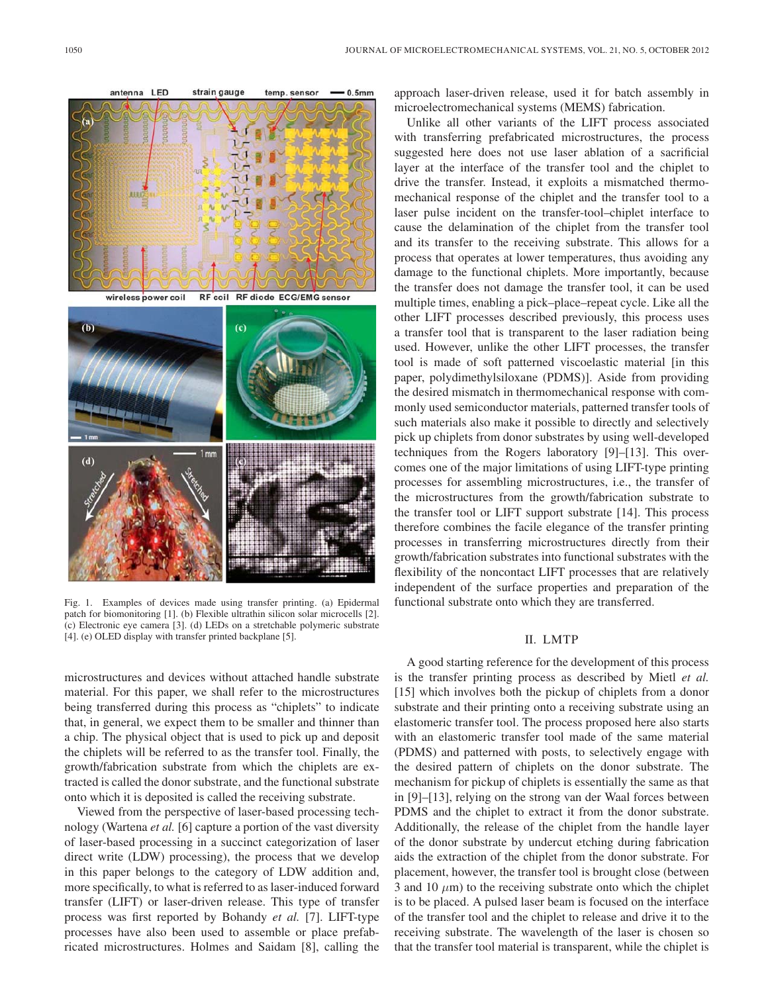

Fig. 1. Examples of devices made using transfer printing. (a) Epidermal patch for biomonitoring [1]. (b) Flexible ultrathin silicon solar microcells [2]. (c) Electronic eye camera [3]. (d) LEDs on a stretchable polymeric substrate [4]. (e) OLED display with transfer printed backplane [5].

microstructures and devices without attached handle substrate material. For this paper, we shall refer to the microstructures being transferred during this process as "chiplets" to indicate that, in general, we expect them to be smaller and thinner than a chip. The physical object that is used to pick up and deposit the chiplets will be referred to as the transfer tool. Finally, the growth/fabrication substrate from which the chiplets are extracted is called the donor substrate, and the functional substrate onto which it is deposited is called the receiving substrate.

Viewed from the perspective of laser-based processing technology (Wartena *et al.* [6] capture a portion of the vast diversity of laser-based processing in a succinct categorization of laser direct write (LDW) processing), the process that we develop in this paper belongs to the category of LDW addition and, more specifically, to what is referred to as laser-induced forward transfer (LIFT) or laser-driven release. This type of transfer process was first reported by Bohandy *et al.* [7]. LIFT-type processes have also been used to assemble or place prefabricated microstructures. Holmes and Saidam [8], calling the approach laser-driven release, used it for batch assembly in microelectromechanical systems (MEMS) fabrication.

Unlike all other variants of the LIFT process associated with transferring prefabricated microstructures, the process suggested here does not use laser ablation of a sacrificial layer at the interface of the transfer tool and the chiplet to drive the transfer. Instead, it exploits a mismatched thermomechanical response of the chiplet and the transfer tool to a laser pulse incident on the transfer-tool–chiplet interface to cause the delamination of the chiplet from the transfer tool and its transfer to the receiving substrate. This allows for a process that operates at lower temperatures, thus avoiding any damage to the functional chiplets. More importantly, because the transfer does not damage the transfer tool, it can be used multiple times, enabling a pick–place–repeat cycle. Like all the other LIFT processes described previously, this process uses a transfer tool that is transparent to the laser radiation being used. However, unlike the other LIFT processes, the transfer tool is made of soft patterned viscoelastic material [in this paper, polydimethylsiloxane (PDMS)]. Aside from providing the desired mismatch in thermomechanical response with commonly used semiconductor materials, patterned transfer tools of such materials also make it possible to directly and selectively pick up chiplets from donor substrates by using well-developed techniques from the Rogers laboratory [9]–[13]. This overcomes one of the major limitations of using LIFT-type printing processes for assembling microstructures, i.e., the transfer of the microstructures from the growth/fabrication substrate to the transfer tool or LIFT support substrate [14]. This process therefore combines the facile elegance of the transfer printing processes in transferring microstructures directly from their growth/fabrication substrates into functional substrates with the flexibility of the noncontact LIFT processes that are relatively independent of the surface properties and preparation of the functional substrate onto which they are transferred.

## II. LMTP

A good starting reference for the development of this process is the transfer printing process as described by Mietl *et al.* [15] which involves both the pickup of chiplets from a donor substrate and their printing onto a receiving substrate using an elastomeric transfer tool. The process proposed here also starts with an elastomeric transfer tool made of the same material (PDMS) and patterned with posts, to selectively engage with the desired pattern of chiplets on the donor substrate. The mechanism for pickup of chiplets is essentially the same as that in [9]–[13], relying on the strong van der Waal forces between PDMS and the chiplet to extract it from the donor substrate. Additionally, the release of the chiplet from the handle layer of the donor substrate by undercut etching during fabrication aids the extraction of the chiplet from the donor substrate. For placement, however, the transfer tool is brought close (between 3 and 10  $\mu$ m) to the receiving substrate onto which the chiplet is to be placed. A pulsed laser beam is focused on the interface of the transfer tool and the chiplet to release and drive it to the receiving substrate. The wavelength of the laser is chosen so that the transfer tool material is transparent, while the chiplet is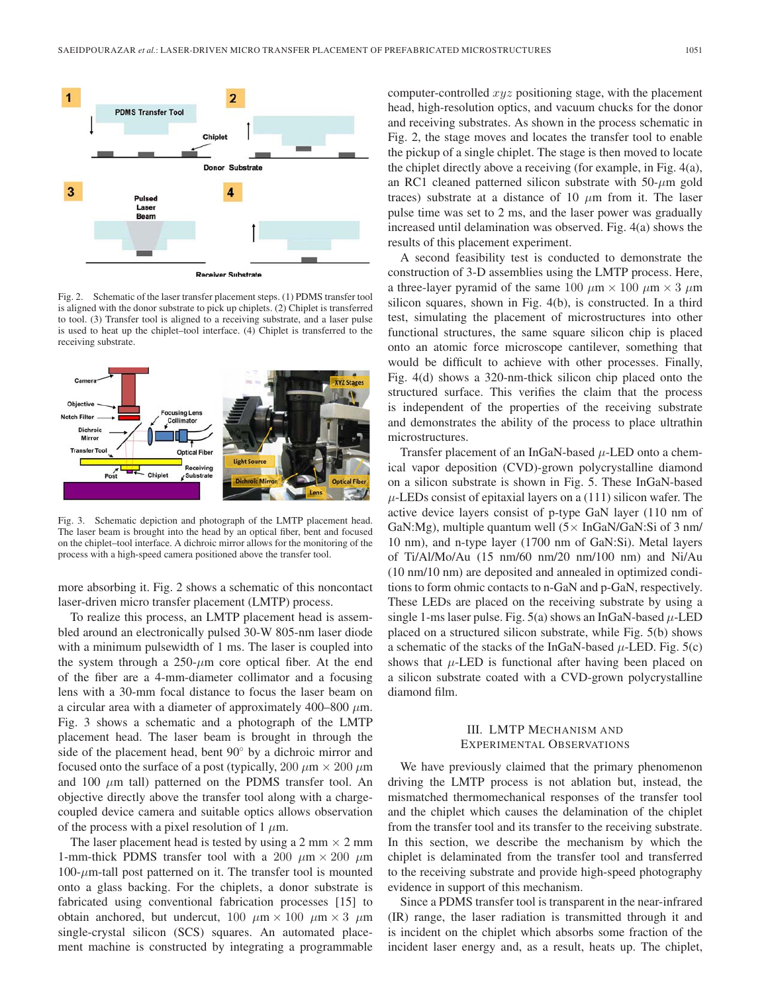

iver Substrate

Fig. 2. Schematic of the laser transfer placement steps. (1) PDMS transfer tool is aligned with the donor substrate to pick up chiplets. (2) Chiplet is transferred to tool. (3) Transfer tool is aligned to a receiving substrate, and a laser pulse is used to heat up the chiplet–tool interface. (4) Chiplet is transferred to the receiving substrate.



Fig. 3. Schematic depiction and photograph of the LMTP placement head. The laser beam is brought into the head by an optical fiber, bent and focused on the chiplet–tool interface. A dichroic mirror allows for the monitoring of the process with a high-speed camera positioned above the transfer tool.

more absorbing it. Fig. 2 shows a schematic of this noncontact laser-driven micro transfer placement (LMTP) process.

To realize this process, an LMTP placement head is assembled around an electronically pulsed 30-W 805-nm laser diode with a minimum pulsewidth of 1 ms. The laser is coupled into the system through a  $250-\mu m$  core optical fiber. At the end of the fiber are a 4-mm-diameter collimator and a focusing lens with a 30-mm focal distance to focus the laser beam on a circular area with a diameter of approximately 400–800  $\mu$ m. Fig. 3 shows a schematic and a photograph of the LMTP placement head. The laser beam is brought in through the side of the placement head, bent 90◦ by a dichroic mirror and focused onto the surface of a post (typically,  $200 \mu m \times 200 \mu m$ ) and 100  $\mu$ m tall) patterned on the PDMS transfer tool. An objective directly above the transfer tool along with a chargecoupled device camera and suitable optics allows observation of the process with a pixel resolution of 1  $\mu$ m.

The laser placement head is tested by using a 2 mm  $\times$  2 mm 1-mm-thick PDMS transfer tool with a 200  $\mu$ m × 200  $\mu$ m  $100$ -μm-tall post patterned on it. The transfer tool is mounted onto a glass backing. For the chiplets, a donor substrate is fabricated using conventional fabrication processes [15] to obtain anchored, but undercut,  $100 \mu m \times 100 \mu m \times 3 \mu m$ single-crystal silicon (SCS) squares. An automated placement machine is constructed by integrating a programmable

computer-controlled xyz positioning stage, with the placement head, high-resolution optics, and vacuum chucks for the donor and receiving substrates. As shown in the process schematic in Fig. 2, the stage moves and locates the transfer tool to enable the pickup of a single chiplet. The stage is then moved to locate the chiplet directly above a receiving (for example, in Fig. 4(a), an RC1 cleaned patterned silicon substrate with  $50-\mu m$  gold traces) substrate at a distance of 10  $\mu$ m from it. The laser pulse time was set to 2 ms, and the laser power was gradually increased until delamination was observed. Fig. 4(a) shows the results of this placement experiment.

A second feasibility test is conducted to demonstrate the construction of 3-D assemblies using the LMTP process. Here, a three-layer pyramid of the same 100  $\mu$ m  $\times$  100  $\mu$ m  $\times$  3  $\mu$ m silicon squares, shown in Fig. 4(b), is constructed. In a third test, simulating the placement of microstructures into other functional structures, the same square silicon chip is placed onto an atomic force microscope cantilever, something that would be difficult to achieve with other processes. Finally, Fig. 4(d) shows a 320-nm-thick silicon chip placed onto the structured surface. This verifies the claim that the process is independent of the properties of the receiving substrate and demonstrates the ability of the process to place ultrathin microstructures.

Transfer placement of an InGaN-based  $\mu$ -LED onto a chemical vapor deposition (CVD)-grown polycrystalline diamond on a silicon substrate is shown in Fig. 5. These InGaN-based  $\mu$ -LEDs consist of epitaxial layers on a (111) silicon wafer. The active device layers consist of p-type GaN layer (110 nm of GaN:Mg), multiple quantum well  $(5 \times InGaN/GaN:Si$  of 3 nm/ 10 nm), and n-type layer (1700 nm of GaN:Si). Metal layers of Ti/Al/Mo/Au (15 nm/60 nm/20 nm/100 nm) and Ni/Au (10 nm/10 nm) are deposited and annealed in optimized conditions to form ohmic contacts to n-GaN and p-GaN, respectively. These LEDs are placed on the receiving substrate by using a single 1-ms laser pulse. Fig. 5(a) shows an InGaN-based  $\mu$ -LED placed on a structured silicon substrate, while Fig. 5(b) shows a schematic of the stacks of the InGaN-based  $\mu$ -LED. Fig. 5(c) shows that  $\mu$ -LED is functional after having been placed on a silicon substrate coated with a CVD-grown polycrystalline diamond film.

## III. LMTP MECHANISM AND EXPERIMENTAL OBSERVATIONS

We have previously claimed that the primary phenomenon driving the LMTP process is not ablation but, instead, the mismatched thermomechanical responses of the transfer tool and the chiplet which causes the delamination of the chiplet from the transfer tool and its transfer to the receiving substrate. In this section, we describe the mechanism by which the chiplet is delaminated from the transfer tool and transferred to the receiving substrate and provide high-speed photography evidence in support of this mechanism.

Since a PDMS transfer tool is transparent in the near-infrared (IR) range, the laser radiation is transmitted through it and is incident on the chiplet which absorbs some fraction of the incident laser energy and, as a result, heats up. The chiplet,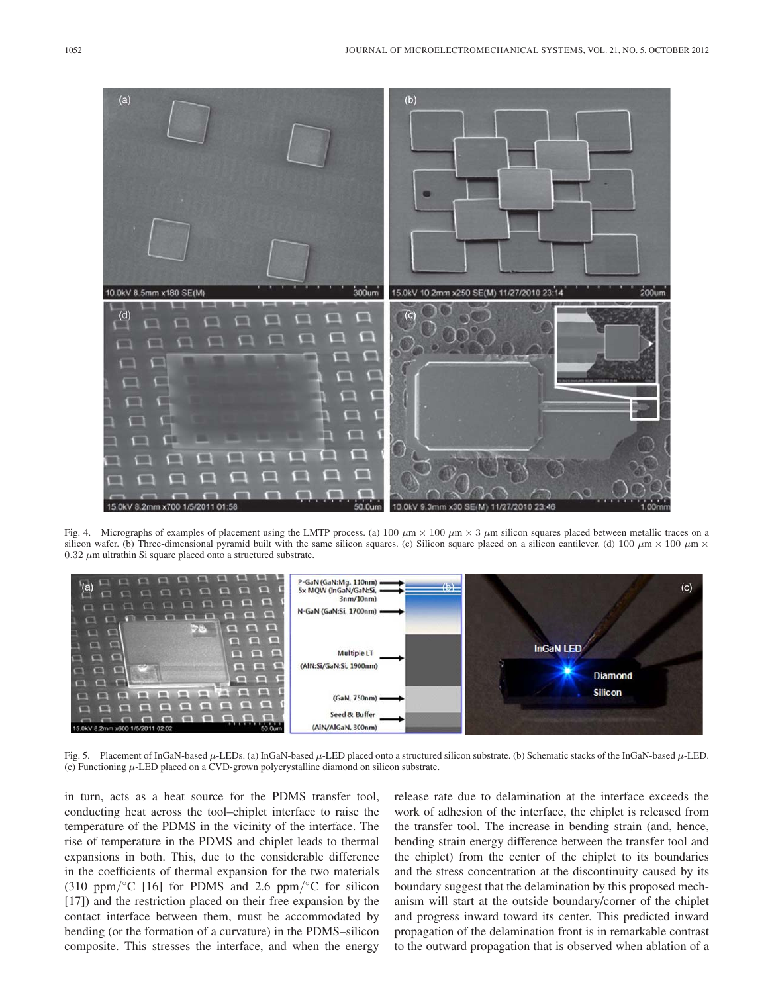

Fig. 4. Micrographs of examples of placement using the LMTP process. (a) 100  $\mu$ m  $\times$  100  $\mu$ m  $\times$  3  $\mu$ m silicon squares placed between metallic traces on a silicon wafer. (b) Three-dimensional pyramid built with the same silicon squares. (c) Silicon square placed on a silicon cantilever. (d) 100  $\mu$ m × 100  $\mu$ m ×  $0.32 \mu$ m ultrathin Si square placed onto a structured substrate.



Fig. 5. Placement of InGaN-based  $\mu$ -LEDs. (a) InGaN-based  $\mu$ -LED placed onto a structured silicon substrate. (b) Schematic stacks of the InGaN-based  $\mu$ -LED. (c) Functioning  $\mu$ -LED placed on a CVD-grown polycrystalline diamond on silicon substrate.

in turn, acts as a heat source for the PDMS transfer tool, conducting heat across the tool–chiplet interface to raise the temperature of the PDMS in the vicinity of the interface. The rise of temperature in the PDMS and chiplet leads to thermal expansions in both. This, due to the considerable difference in the coefficients of thermal expansion for the two materials (310 ppm/ $\rm{°C}$  [16] for PDMS and 2.6 ppm/ $\rm{°C}$  for silicon [17]) and the restriction placed on their free expansion by the contact interface between them, must be accommodated by bending (or the formation of a curvature) in the PDMS–silicon composite. This stresses the interface, and when the energy release rate due to delamination at the interface exceeds the work of adhesion of the interface, the chiplet is released from the transfer tool. The increase in bending strain (and, hence, bending strain energy difference between the transfer tool and the chiplet) from the center of the chiplet to its boundaries and the stress concentration at the discontinuity caused by its boundary suggest that the delamination by this proposed mechanism will start at the outside boundary/corner of the chiplet and progress inward toward its center. This predicted inward propagation of the delamination front is in remarkable contrast to the outward propagation that is observed when ablation of a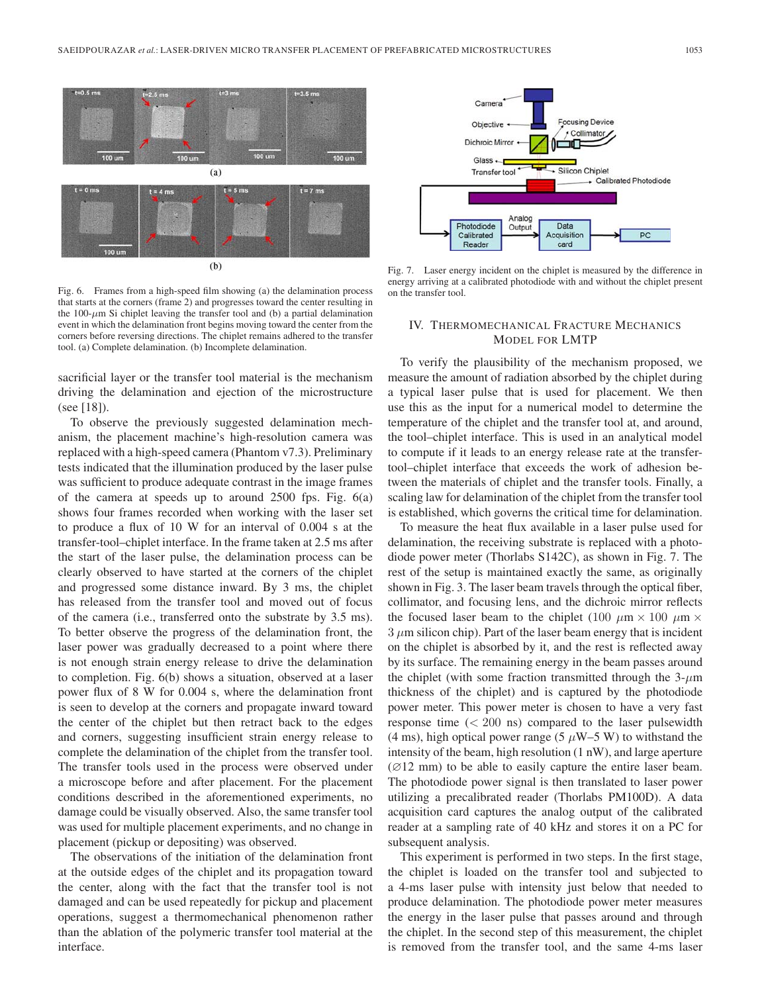

Fig. 6. Frames from a high-speed film showing (a) the delamination process that starts at the corners (frame 2) and progresses toward the center resulting in the 100- $\mu$ m Si chiplet leaving the transfer tool and (b) a partial delamination event in which the delamination front begins moving toward the center from the corners before reversing directions. The chiplet remains adhered to the transfer tool. (a) Complete delamination. (b) Incomplete delamination.

sacrificial layer or the transfer tool material is the mechanism driving the delamination and ejection of the microstructure (see [18]).

To observe the previously suggested delamination mechanism, the placement machine's high-resolution camera was replaced with a high-speed camera (Phantom v7.3). Preliminary tests indicated that the illumination produced by the laser pulse was sufficient to produce adequate contrast in the image frames of the camera at speeds up to around 2500 fps. Fig. 6(a) shows four frames recorded when working with the laser set to produce a flux of 10 W for an interval of 0.004 s at the transfer-tool–chiplet interface. In the frame taken at 2.5 ms after the start of the laser pulse, the delamination process can be clearly observed to have started at the corners of the chiplet and progressed some distance inward. By 3 ms, the chiplet has released from the transfer tool and moved out of focus of the camera (i.e., transferred onto the substrate by 3.5 ms). To better observe the progress of the delamination front, the laser power was gradually decreased to a point where there is not enough strain energy release to drive the delamination to completion. Fig. 6(b) shows a situation, observed at a laser power flux of 8 W for 0.004 s, where the delamination front is seen to develop at the corners and propagate inward toward the center of the chiplet but then retract back to the edges and corners, suggesting insufficient strain energy release to complete the delamination of the chiplet from the transfer tool. The transfer tools used in the process were observed under a microscope before and after placement. For the placement conditions described in the aforementioned experiments, no damage could be visually observed. Also, the same transfer tool was used for multiple placement experiments, and no change in placement (pickup or depositing) was observed.

The observations of the initiation of the delamination front at the outside edges of the chiplet and its propagation toward the center, along with the fact that the transfer tool is not damaged and can be used repeatedly for pickup and placement operations, suggest a thermomechanical phenomenon rather than the ablation of the polymeric transfer tool material at the interface.



Fig. 7. Laser energy incident on the chiplet is measured by the difference in energy arriving at a calibrated photodiode with and without the chiplet present on the transfer tool.

## IV. THERMOMECHANICAL FRACTURE MECHANICS MODEL FOR LMTP

To verify the plausibility of the mechanism proposed, we measure the amount of radiation absorbed by the chiplet during a typical laser pulse that is used for placement. We then use this as the input for a numerical model to determine the temperature of the chiplet and the transfer tool at, and around, the tool–chiplet interface. This is used in an analytical model to compute if it leads to an energy release rate at the transfertool–chiplet interface that exceeds the work of adhesion between the materials of chiplet and the transfer tools. Finally, a scaling law for delamination of the chiplet from the transfer tool is established, which governs the critical time for delamination.

To measure the heat flux available in a laser pulse used for delamination, the receiving substrate is replaced with a photodiode power meter (Thorlabs S142C), as shown in Fig. 7. The rest of the setup is maintained exactly the same, as originally shown in Fig. 3. The laser beam travels through the optical fiber, collimator, and focusing lens, and the dichroic mirror reflects the focused laser beam to the chiplet (100  $\mu$ m × 100  $\mu$ m ×  $3 \mu$ m silicon chip). Part of the laser beam energy that is incident on the chiplet is absorbed by it, and the rest is reflected away by its surface. The remaining energy in the beam passes around the chiplet (with some fraction transmitted through the  $3-\mu m$ thickness of the chiplet) and is captured by the photodiode power meter. This power meter is chosen to have a very fast response time  $( $200 \text{ ns}$ ) compared to the laser pulsewidth$ (4 ms), high optical power range (5  $\mu$ W–5 W) to withstand the intensity of the beam, high resolution (1 nW), and large aperture  $(Ø12 \text{ mm})$  to be able to easily capture the entire laser beam. The photodiode power signal is then translated to laser power utilizing a precalibrated reader (Thorlabs PM100D). A data acquisition card captures the analog output of the calibrated reader at a sampling rate of 40 kHz and stores it on a PC for subsequent analysis.

This experiment is performed in two steps. In the first stage, the chiplet is loaded on the transfer tool and subjected to a 4-ms laser pulse with intensity just below that needed to produce delamination. The photodiode power meter measures the energy in the laser pulse that passes around and through the chiplet. In the second step of this measurement, the chiplet is removed from the transfer tool, and the same 4-ms laser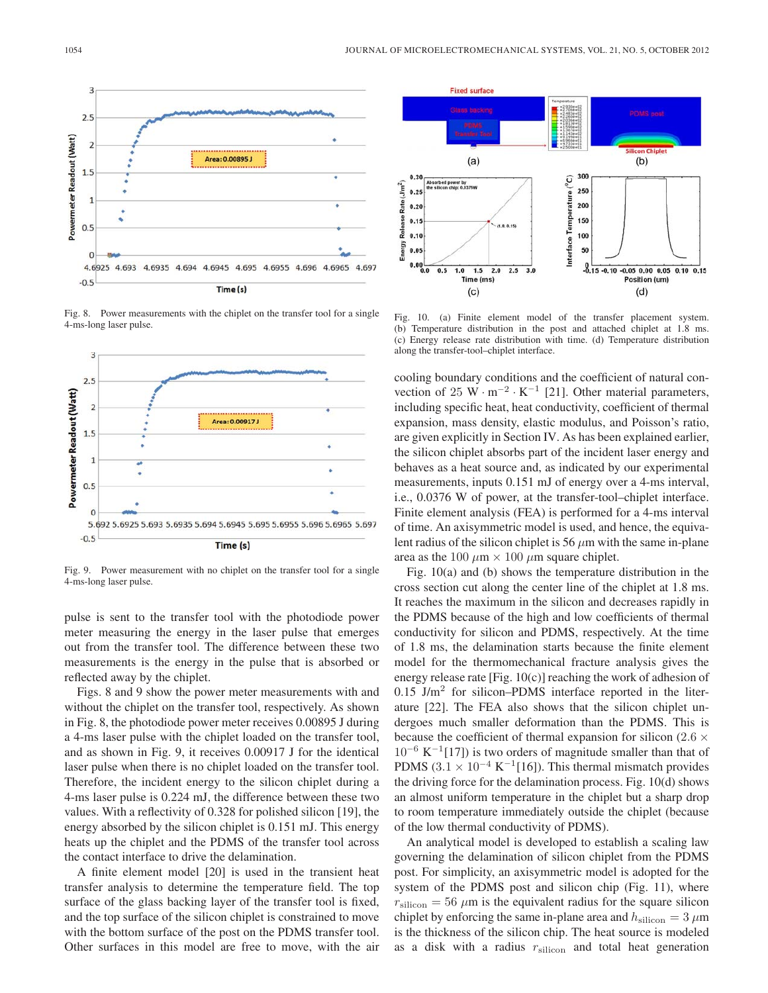

Fig. 8. Power measurements with the chiplet on the transfer tool for a single 4-ms-long laser pulse.



Fig. 9. Power measurement with no chiplet on the transfer tool for a single 4-ms-long laser pulse.

pulse is sent to the transfer tool with the photodiode power meter measuring the energy in the laser pulse that emerges out from the transfer tool. The difference between these two measurements is the energy in the pulse that is absorbed or reflected away by the chiplet.

Figs. 8 and 9 show the power meter measurements with and without the chiplet on the transfer tool, respectively. As shown in Fig. 8, the photodiode power meter receives 0.00895 J during a 4-ms laser pulse with the chiplet loaded on the transfer tool, and as shown in Fig. 9, it receives 0.00917 J for the identical laser pulse when there is no chiplet loaded on the transfer tool. Therefore, the incident energy to the silicon chiplet during a 4-ms laser pulse is 0.224 mJ, the difference between these two values. With a reflectivity of 0.328 for polished silicon [19], the energy absorbed by the silicon chiplet is 0.151 mJ. This energy heats up the chiplet and the PDMS of the transfer tool across the contact interface to drive the delamination.

A finite element model [20] is used in the transient heat transfer analysis to determine the temperature field. The top surface of the glass backing layer of the transfer tool is fixed, and the top surface of the silicon chiplet is constrained to move with the bottom surface of the post on the PDMS transfer tool. Other surfaces in this model are free to move, with the air



Fig. 10. (a) Finite element model of the transfer placement system. (b) Temperature distribution in the post and attached chiplet at 1.8 ms. (c) Energy release rate distribution with time. (d) Temperature distribution along the transfer-tool–chiplet interface.

cooling boundary conditions and the coefficient of natural convection of 25 W · m<sup>-2</sup> · K<sup>-1</sup> [21]. Other material parameters, including specific heat, heat conductivity, coefficient of thermal expansion, mass density, elastic modulus, and Poisson's ratio, are given explicitly in Section IV. As has been explained earlier, the silicon chiplet absorbs part of the incident laser energy and behaves as a heat source and, as indicated by our experimental measurements, inputs 0.151 mJ of energy over a 4-ms interval, i.e., 0.0376 W of power, at the transfer-tool–chiplet interface. Finite element analysis (FEA) is performed for a 4-ms interval of time. An axisymmetric model is used, and hence, the equivalent radius of the silicon chiplet is 56  $\mu$ m with the same in-plane area as the 100  $\mu$ m  $\times$  100  $\mu$ m square chiplet.

Fig. 10(a) and (b) shows the temperature distribution in the cross section cut along the center line of the chiplet at 1.8 ms. It reaches the maximum in the silicon and decreases rapidly in the PDMS because of the high and low coefficients of thermal conductivity for silicon and PDMS, respectively. At the time of 1.8 ms, the delamination starts because the finite element model for the thermomechanical fracture analysis gives the energy release rate [Fig.  $10(c)$ ] reaching the work of adhesion of  $0.15$  J/m<sup>2</sup> for silicon–PDMS interface reported in the literature [22]. The FEA also shows that the silicon chiplet undergoes much smaller deformation than the PDMS. This is because the coefficient of thermal expansion for silicon (2.6  $\times$  $10^{-6}$  K<sup>-1</sup>[17]) is two orders of magnitude smaller than that of PDMS  $(3.1 \times 10^{-4} \text{ K}^{-1}[16])$ . This thermal mismatch provides the driving force for the delamination process. Fig. 10(d) shows an almost uniform temperature in the chiplet but a sharp drop to room temperature immediately outside the chiplet (because of the low thermal conductivity of PDMS).

An analytical model is developed to establish a scaling law governing the delamination of silicon chiplet from the PDMS post. For simplicity, an axisymmetric model is adopted for the system of the PDMS post and silicon chip (Fig. 11), where  $r_{\text{silicon}} = 56 \ \mu \text{m}$  is the equivalent radius for the square silicon chiplet by enforcing the same in-plane area and  $h_{\text{silicon}} = 3 \,\mu\text{m}$ is the thickness of the silicon chip. The heat source is modeled as a disk with a radius  $r<sub>silicon</sub>$  and total heat generation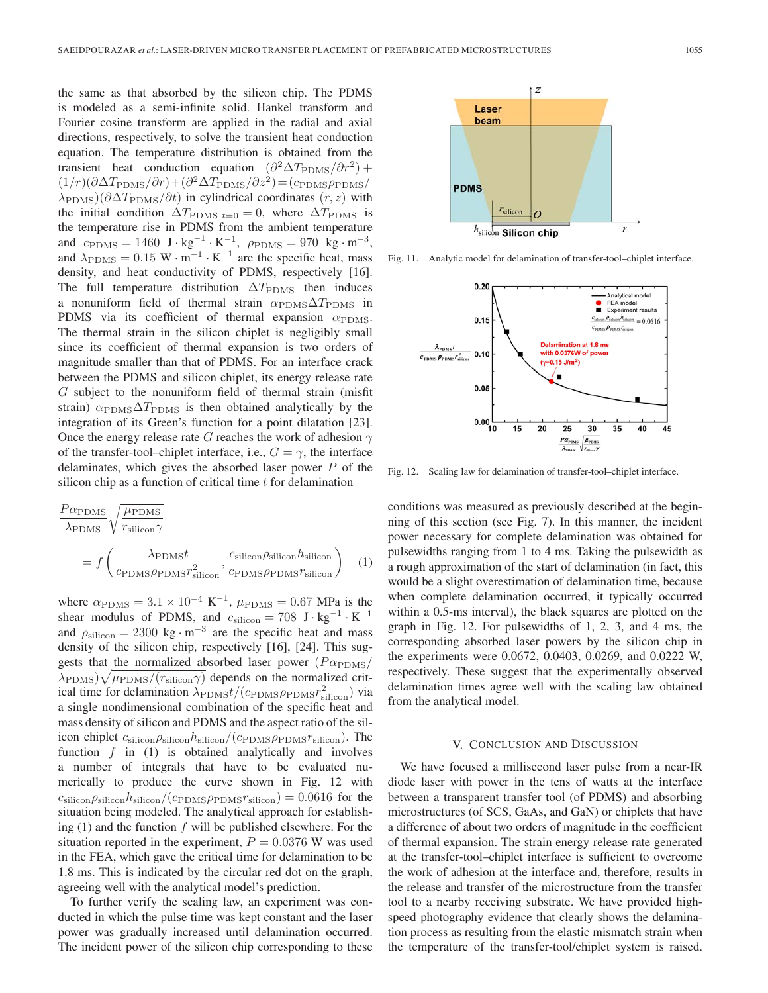the same as that absorbed by the silicon chip. The PDMS is modeled as a semi-infinite solid. Hankel transform and Fourier cosine transform are applied in the radial and axial directions, respectively, to solve the transient heat conduction equation. The temperature distribution is obtained from the transient heat conduction equation  $(\partial^2 \Delta T_{\rm PDMS}/\partial r^2)$  +  $(1/r)(\partial \Delta T_{\rm PDMS}/\partial r)+(\partial^2 \Delta T_{\rm PDMS}/\partial z^2)=(c_{\rm PDMS}\rho_{\rm PDMS}/r)$  $\lambda_{\text{PDMS}}$ )(∂ $\Delta T_{\text{PDMS}}/\partial t$ ) in cylindrical coordinates  $(r, z)$  with the initial condition  $\Delta T_{\rm PDMS}|_{t=0} = 0$ , where  $\Delta T_{\rm PDMS}$  is the temperature rise in PDMS from the ambient temperature and  $c_{\text{PDMS}} = 1460 \text{ J} \cdot \text{kg}^{-1} \cdot \text{K}^{-1}$ ,  $\rho_{\text{PDMS}} = 970 \text{ kg} \cdot \text{m}^{-3}$ , and  $\lambda_{\text{PDMS}} = 0.15 \text{ W} \cdot \text{m}^{-1} \cdot \text{K}^{-1}$  are the specific heat, mass density, and heat conductivity of PDMS, respectively [16]. The full temperature distribution  $\Delta T_{\rm PDMS}$  then induces a nonuniform field of thermal strain  $\alpha_{\rm PDMS}\Delta T_{\rm PDMS}$  in PDMS via its coefficient of thermal expansion  $\alpha_{\text{PDMS}}$ . The thermal strain in the silicon chiplet is negligibly small since its coefficient of thermal expansion is two orders of magnitude smaller than that of PDMS. For an interface crack between the PDMS and silicon chiplet, its energy release rate G subject to the nonuniform field of thermal strain (misfit strain)  $\alpha_{\rm PDMS}\Delta T_{\rm PDMS}$  is then obtained analytically by the integration of its Green's function for a point dilatation [23]. Once the energy release rate G reaches the work of adhesion  $\gamma$ of the transfer-tool–chiplet interface, i.e.,  $G = \gamma$ , the interface delaminates, which gives the absorbed laser power  $P$  of the silicon chip as a function of critical time  $t$  for delamination

$$
\frac{P\alpha_{\text{PDMS}}}{\lambda_{\text{PDMS}}} \sqrt{\frac{\mu_{\text{PDMS}}}{r_{\text{silicon}}\gamma}} = f\left(\frac{\lambda_{\text{PDMS}}t}{c_{\text{PDMS}}\rho_{\text{PDMS}}r_{\text{silicon}}^2}, \frac{c_{\text{silicon}}\rho_{\text{silicon}}h_{\text{silicon}}}{c_{\text{PDMS}}\rho_{\text{PDMS}}r_{\text{silicon}}}\right) \quad (1)
$$

where  $\alpha_{\rm PDMS} = 3.1 \times 10^{-4} \text{ K}^{-1}$ ,  $\mu_{\rm PDMS} = 0.67 \text{ MPa}$  is the shear modulus of PDMS, and  $c_{\text{silicon}} = 708 \text{ J} \cdot \text{kg}^{-1} \cdot \text{K}^{-1}$ and  $\rho_{\text{silicon}} = 2300 \text{ kg} \cdot \text{m}^{-3}$  are the specific heat and mass density of the silicon chip, respectively [16], [24]. This suggests that the normalized absorbed laser power  $(P\alpha_{\rm PDMS}/P)$  $(\lambda_{\rm PDMS})\sqrt{\mu_{\rm PDMS}/(r_{\rm silicon}\gamma)}$  depends on the normalized critical time for delamination  $\lambda_{\text{PDMS}} t / (c_{\text{PDMS}} \rho_{\text{PDMS}} r_{\text{silicon}}^2)$  via a single nondimensional combination of the specific heat and mass density of silicon and PDMS and the aspect ratio of the silicon chiplet  $c_{\text{silicon}}\rho_{\text{silicon}}/(\varepsilon_{\text{PDMS}}\rho_{\text{PDMS}}r_{\text{silicon}})$ . The function  $f$  in (1) is obtained analytically and involves a number of integrals that have to be evaluated numerically to produce the curve shown in Fig. 12 with  $c_{\text{silicon}}\rho_{\text{silicon}}/(\text{cp}_\text{DMS}\rho_{\text{PDMS}}r_{\text{silicon}})=0.0616$  for the situation being modeled. The analytical approach for establishing  $(1)$  and the function f will be published elsewhere. For the situation reported in the experiment,  $P = 0.0376$  W was used in the FEA, which gave the critical time for delamination to be 1.8 ms. This is indicated by the circular red dot on the graph, agreeing well with the analytical model's prediction.

To further verify the scaling law, an experiment was conducted in which the pulse time was kept constant and the laser power was gradually increased until delamination occurred. The incident power of the silicon chip corresponding to these



20 15

conditions was measured as previously described at the beginning of this section (see Fig. 7). In this manner, the incident power necessary for complete delamination was obtained for pulsewidths ranging from 1 to 4 ms. Taking the pulsewidth as a rough approximation of the start of delamination (in fact, this would be a slight overestimation of delamination time, because when complete delamination occurred, it typically occurred within a 0.5-ms interval), the black squares are plotted on the graph in Fig. 12. For pulsewidths of 1, 2, 3, and 4 ms, the corresponding absorbed laser powers by the silicon chip in the experiments were 0.0672, 0.0403, 0.0269, and 0.0222 W, respectively. These suggest that the experimentally observed delamination times agree well with the scaling law obtained from the analytical model.

#### V. CONCLUSION AND DISCUSSION

We have focused a millisecond laser pulse from a near-IR diode laser with power in the tens of watts at the interface between a transparent transfer tool (of PDMS) and absorbing microstructures (of SCS, GaAs, and GaN) or chiplets that have a difference of about two orders of magnitude in the coefficient of thermal expansion. The strain energy release rate generated at the transfer-tool–chiplet interface is sufficient to overcome the work of adhesion at the interface and, therefore, results in the release and transfer of the microstructure from the transfer tool to a nearby receiving substrate. We have provided highspeed photography evidence that clearly shows the delamination process as resulting from the elastic mismatch strain when the temperature of the transfer-tool/chiplet system is raised.



Fig. 11. Analytic model for delamination of transfer-tool–chiplet interface.

with 0.0376W of po

25 30 35

 $\lambda$ 

 $\mu_{\rm{pons}}$ 

 $(\gamma = 0.15 \text{ J/m}^2)$ ٠

Analytical model FEA model Experiment results  $\frac{c_{\text{silicon}}\rho_{\text{silicon}}h_{\text{silicon}}}{\rho_{\text{silicon}}}$  = 0.0616

> 40 45

 $0.20$ 

 $0.15$ 

 $0.10$ 

0.05

 $0.00_{10}$ 

 $\lambda_{\text{PDMS}}t$ 

 $c_{\text{PDMS}} \rho_{\text{PDMS}} r_{\text{sil}}^2$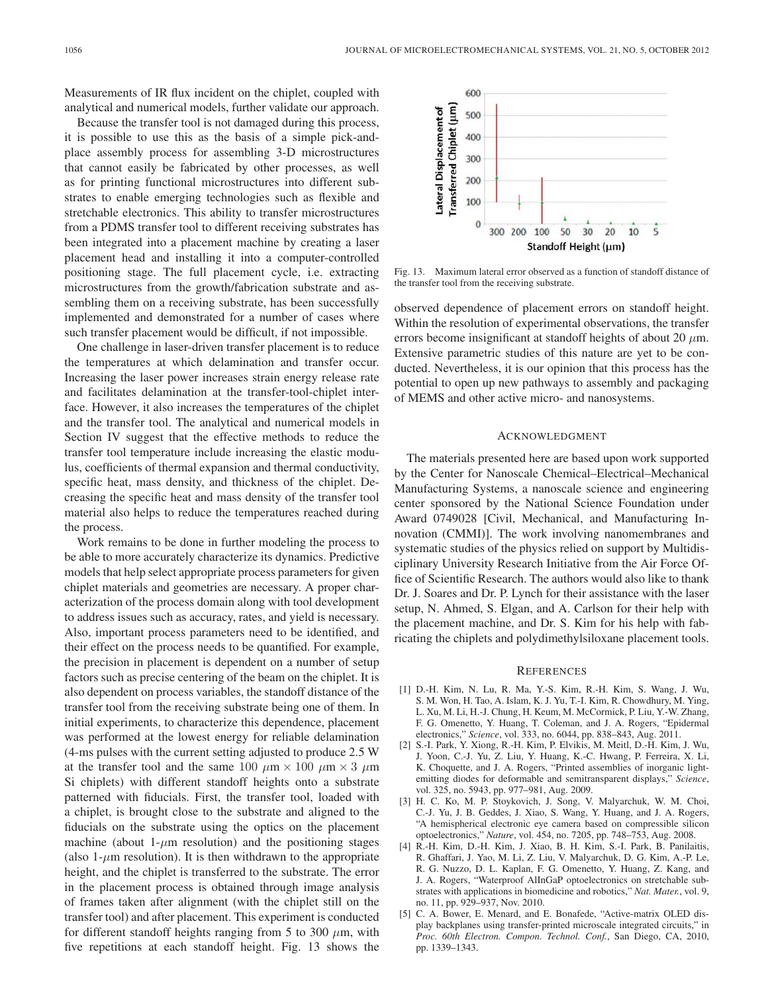Measurements of IR flux incident on the chiplet, coupled with analytical and numerical models, further validate our approach.

Because the transfer tool is not damaged during this process, it is possible to use this as the basis of a simple pick-andplace assembly process for assembling 3-D microstructures that cannot easily be fabricated by other processes, as well as for printing functional microstructures into different substrates to enable emerging technologies such as flexible and stretchable electronics. This ability to transfer microstructures from a PDMS transfer tool to different receiving substrates has been integrated into a placement machine by creating a laser placement head and installing it into a computer-controlled positioning stage. The full placement cycle, i.e. extracting microstructures from the growth/fabrication substrate and assembling them on a receiving substrate, has been successfully implemented and demonstrated for a number of cases where such transfer placement would be difficult, if not impossible.

One challenge in laser-driven transfer placement is to reduce the temperatures at which delamination and transfer occur. Increasing the laser power increases strain energy release rate and facilitates delamination at the transfer-tool-chiplet interface. However, it also increases the temperatures of the chiplet and the transfer tool. The analytical and numerical models in Section IV suggest that the effective methods to reduce the transfer tool temperature include increasing the elastic modulus, coefficients of thermal expansion and thermal conductivity, specific heat, mass density, and thickness of the chiplet. Decreasing the specific heat and mass density of the transfer tool material also helps to reduce the temperatures reached during the process.

Work remains to be done in further modeling the process to be able to more accurately characterize its dynamics. Predictive models that help select appropriate process parameters for given chiplet materials and geometries are necessary. A proper characterization of the process domain along with tool development to address issues such as accuracy, rates, and yield is necessary. Also, important process parameters need to be identified, and their effect on the process needs to be quantified. For example, the precision in placement is dependent on a number of setup factors such as precise centering of the beam on the chiplet. It is also dependent on process variables, the standoff distance of the transfer tool from the receiving substrate being one of them. In initial experiments, to characterize this dependence, placement was performed at the lowest energy for reliable delamination (4-ms pulses with the current setting adjusted to produce 2.5 W at the transfer tool and the same 100  $\mu$ m × 100  $\mu$ m × 3  $\mu$ m Si chiplets) with different standoff heights onto a substrate patterned with fiducials. First, the transfer tool, loaded with a chiplet, is brought close to the substrate and aligned to the fiducials on the substrate using the optics on the placement machine (about 1- $\mu$ m resolution) and the positioning stages (also  $1-\mu m$  resolution). It is then withdrawn to the appropriate height, and the chiplet is transferred to the substrate. The error in the placement process is obtained through image analysis of frames taken after alignment (with the chiplet still on the transfer tool) and after placement. This experiment is conducted for different standoff heights ranging from 5 to 300  $\mu$ m, with five repetitions at each standoff height. Fig. 13 shows the



Fig. 13. Maximum lateral error observed as a function of standoff distance of the transfer tool from the receiving substrate.

observed dependence of placement errors on standoff height. Within the resolution of experimental observations, the transfer errors become insignificant at standoff heights of about 20  $\mu$ m. Extensive parametric studies of this nature are yet to be conducted. Nevertheless, it is our opinion that this process has the potential to open up new pathways to assembly and packaging of MEMS and other active micro- and nanosystems.

#### ACKNOWLEDGMENT

The materials presented here are based upon work supported by the Center for Nanoscale Chemical–Electrical–Mechanical Manufacturing Systems, a nanoscale science and engineering center sponsored by the National Science Foundation under Award 0749028 [Civil, Mechanical, and Manufacturing Innovation (CMMI)]. The work involving nanomembranes and systematic studies of the physics relied on support by Multidisciplinary University Research Initiative from the Air Force Office of Scientific Research. The authors would also like to thank Dr. J. Soares and Dr. P. Lynch for their assistance with the laser setup, N. Ahmed, S. Elgan, and A. Carlson for their help with the placement machine, and Dr. S. Kim for his help with fabricating the chiplets and polydimethylsiloxane placement tools.

#### **REFERENCES**

- [1] D.-H. Kim, N. Lu, R. Ma, Y.-S. Kim, R.-H. Kim, S. Wang, J. Wu, S. M. Won, H. Tao, A. Islam, K. J. Yu, T.-I. Kim, R. Chowdhury, M. Ying, L. Xu, M. Li, H.-J. Chung, H. Keum, M. McCormick, P. Liu, Y.-W. Zhang, F. G. Omenetto, Y. Huang, T. Coleman, and J. A. Rogers, "Epidermal electronics," *Science*, vol. 333, no. 6044, pp. 838–843, Aug. 2011.
- [2] S.-I. Park, Y. Xiong, R.-H. Kim, P. Elvikis, M. Meitl, D.-H. Kim, J. Wu, J. Yoon, C.-J. Yu, Z. Liu, Y. Huang, K.-C. Hwang, P. Ferreira, X. Li, K. Choquette, and J. A. Rogers, "Printed assemblies of inorganic lightemitting diodes for deformable and semitransparent displays," *Science*, vol. 325, no. 5943, pp. 977–981, Aug. 2009.
- [3] H. C. Ko, M. P. Stoykovich, J. Song, V. Malyarchuk, W. M. Choi, C.-J. Yu, J. B. Geddes, J. Xiao, S. Wang, Y. Huang, and J. A. Rogers, "A hemispherical electronic eye camera based on compressible silicon optoelectronics," *Nature*, vol. 454, no. 7205, pp. 748–753, Aug. 2008.
- [4] R.-H. Kim, D.-H. Kim, J. Xiao, B. H. Kim, S.-I. Park, B. Panilaitis, R. Ghaffari, J. Yao, M. Li, Z. Liu, V. Malyarchuk, D. G. Kim, A.-P. Le, R. G. Nuzzo, D. L. Kaplan, F. G. Omenetto, Y. Huang, Z. Kang, and J. A. Rogers, "Waterproof AlInGaP optoelectronics on stretchable substrates with applications in biomedicine and robotics," *Nat. Mater.*, vol. 9, no. 11, pp. 929–937, Nov. 2010.
- [5] C. A. Bower, E. Menard, and E. Bonafede, "Active-matrix OLED display backplanes using transfer-printed microscale integrated circuits," in *Proc. 60th Electron. Compon. Technol. Conf.*, San Diego, CA, 2010, pp. 1339–1343.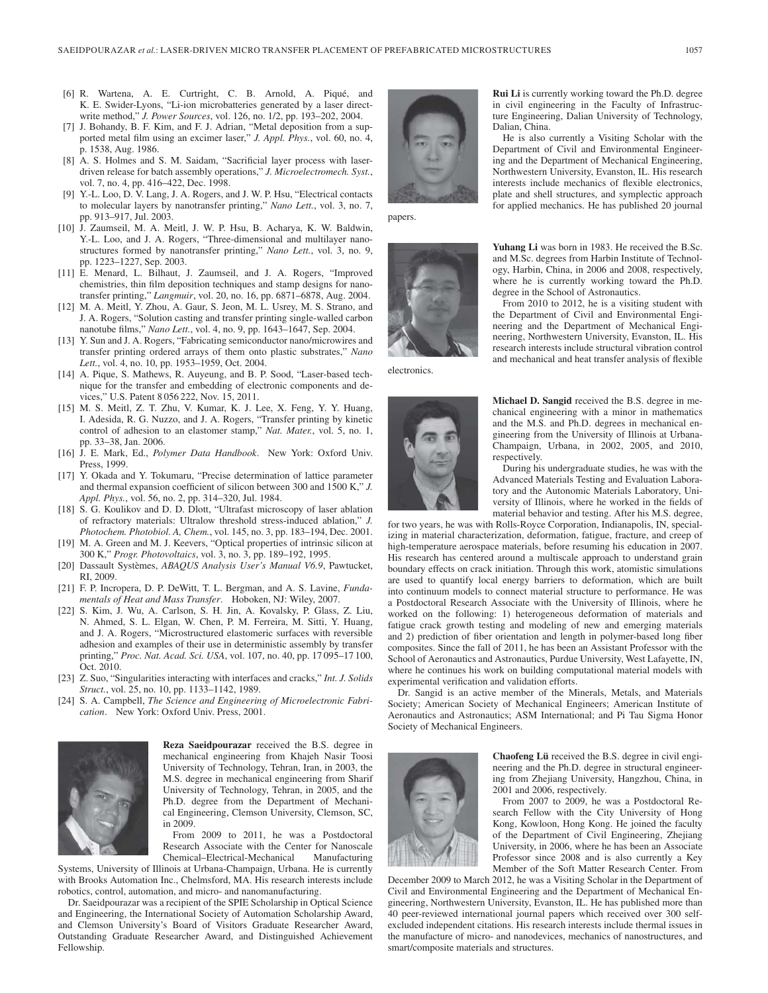- [6] R. Wartena, A. E. Curtright, C. B. Arnold, A. Piqué, and K. E. Swider-Lyons, "Li-ion microbatteries generated by a laser directwrite method," *J. Power Sources*, vol. 126, no. 1/2, pp. 193–202, 2004.
- [7] J. Bohandy, B. F. Kim, and F. J. Adrian, "Metal deposition from a supported metal film using an excimer laser," *J. Appl. Phys.*, vol. 60, no. 4, p. 1538, Aug. 1986.
- [8] A. S. Holmes and S. M. Saidam, "Sacrificial layer process with laserdriven release for batch assembly operations," *J. Microelectromech. Syst.*, vol. 7, no. 4, pp. 416–422, Dec. 1998.
- [9] Y.-L. Loo, D. V. Lang, J. A. Rogers, and J. W. P. Hsu, "Electrical contacts to molecular layers by nanotransfer printing," *Nano Lett.*, vol. 3, no. 7, pp. 913–917, Jul. 2003.
- [10] J. Zaumseil, M. A. Meitl, J. W. P. Hsu, B. Acharya, K. W. Baldwin, Y.-L. Loo, and J. A. Rogers, "Three-dimensional and multilayer nanostructures formed by nanotransfer printing," *Nano Lett.*, vol. 3, no. 9, pp. 1223–1227, Sep. 2003.
- [11] E. Menard, L. Bilhaut, J. Zaumseil, and J. A. Rogers, "Improved chemistries, thin film deposition techniques and stamp designs for nanotransfer printing," *Langmuir*, vol. 20, no. 16, pp. 6871–6878, Aug. 2004.
- [12] M. A. Meitl, Y. Zhou, A. Gaur, S. Jeon, M. L. Usrey, M. S. Strano, and J. A. Rogers, "Solution casting and transfer printing single-walled carbon nanotube films," *Nano Lett.*, vol. 4, no. 9, pp. 1643–1647, Sep. 2004.
- [13] Y. Sun and J. A. Rogers, "Fabricating semiconductor nano/microwires and transfer printing ordered arrays of them onto plastic substrates," *Nano Lett.*, vol. 4, no. 10, pp. 1953–1959, Oct. 2004.
- [14] A. Pique, S. Mathews, R. Auyeung, and B. P. Sood, "Laser-based technique for the transfer and embedding of electronic components and devices," U.S. Patent 8 056 222, Nov. 15, 2011.
- [15] M. S. Meitl, Z. T. Zhu, V. Kumar, K. J. Lee, X. Feng, Y. Y. Huang, I. Adesida, R. G. Nuzzo, and J. A. Rogers, "Transfer printing by kinetic control of adhesion to an elastomer stamp," *Nat. Mater.*, vol. 5, no. 1, pp. 33–38, Jan. 2006.
- [16] J. E. Mark, Ed., *Polymer Data Handbook*. New York: Oxford Univ. Press, 1999.
- [17] Y. Okada and Y. Tokumaru, "Precise determination of lattice parameter and thermal expansion coefficient of silicon between 300 and 1500 K," *J. Appl. Phys.*, vol. 56, no. 2, pp. 314–320, Jul. 1984.
- [18] S. G. Koulikov and D. D. Dlott, "Ultrafast microscopy of laser ablation of refractory materials: Ultralow threshold stress-induced ablation," *J. Photochem. Photobiol. A, Chem.*, vol. 145, no. 3, pp. 183–194, Dec. 2001.
- [19] M. A. Green and M. J. Keevers, "Optical properties of intrinsic silicon at 300 K," *Progr. Photovoltaics*, vol. 3, no. 3, pp. 189–192, 1995.
- [20] Dassault Systèmes, *ABAQUS Analysis User's Manual V6.9*, Pawtucket, RI, 2009.
- [21] F. P. Incropera, D. P. DeWitt, T. L. Bergman, and A. S. Lavine, *Fundamentals of Heat and Mass Transfer*. Hoboken, NJ: Wiley, 2007.
- [22] S. Kim, J. Wu, A. Carlson, S. H. Jin, A. Kovalsky, P. Glass, Z. Liu, N. Ahmed, S. L. Elgan, W. Chen, P. M. Ferreira, M. Sitti, Y. Huang, and J. A. Rogers, "Microstructured elastomeric surfaces with reversible adhesion and examples of their use in deterministic assembly by transfer printing," *Proc. Nat. Acad. Sci. USA*, vol. 107, no. 40, pp. 17 095–17 100, Oct. 2010.
- [23] Z. Suo, "Singularities interacting with interfaces and cracks," *Int. J. Solids Struct.*, vol. 25, no. 10, pp. 1133–1142, 1989.
- [24] S. A. Campbell, *The Science and Engineering of Microelectronic Fabrication*. New York: Oxford Univ. Press, 2001.



**Reza Saeidpourazar** received the B.S. degree in mechanical engineering from Khajeh Nasir Toosi University of Technology, Tehran, Iran, in 2003, the M.S. degree in mechanical engineering from Sharif University of Technology, Tehran, in 2005, and the Ph.D. degree from the Department of Mechanical Engineering, Clemson University, Clemson, SC, in 2009.

From 2009 to 2011, he was a Postdoctoral Research Associate with the Center for Nanoscale Chemical–Electrical-Mechanical Manufacturing

Systems, University of Illinois at Urbana-Champaign, Urbana. He is currently with Brooks Automation Inc., Chelmsford, MA. His research interests include robotics, control, automation, and micro- and nanomanufacturing.

Dr. Saeidpourazar was a recipient of the SPIE Scholarship in Optical Science and Engineering, the International Society of Automation Scholarship Award, and Clemson University's Board of Visitors Graduate Researcher Award, Outstanding Graduate Researcher Award, and Distinguished Achievement Fellowship.



papers.



electronics.



**Rui Li** is currently working toward the Ph.D. degree in civil engineering in the Faculty of Infrastructure Engineering, Dalian University of Technology, Dalian, China.

He is also currently a Visiting Scholar with the Department of Civil and Environmental Engineering and the Department of Mechanical Engineering, Northwestern University, Evanston, IL. His research interests include mechanics of flexible electronics, plate and shell structures, and symplectic approach for applied mechanics. He has published 20 journal

**Yuhang Li** was born in 1983. He received the B.Sc. and M.Sc. degrees from Harbin Institute of Technology, Harbin, China, in 2006 and 2008, respectively, where he is currently working toward the Ph.D. degree in the School of Astronautics.

From 2010 to 2012, he is a visiting student with the Department of Civil and Environmental Engineering and the Department of Mechanical Engineering, Northwestern University, Evanston, IL. His research interests include structural vibration control and mechanical and heat transfer analysis of flexible

**Michael D. Sangid** received the B.S. degree in mechanical engineering with a minor in mathematics and the M.S. and Ph.D. degrees in mechanical engineering from the University of Illinois at Urbana-Champaign, Urbana, in 2002, 2005, and 2010, respectively.

During his undergraduate studies, he was with the Advanced Materials Testing and Evaluation Laboratory and the Autonomic Materials Laboratory, University of Illinois, where he worked in the fields of material behavior and testing. After his M.S. degree,

for two years, he was with Rolls-Royce Corporation, Indianapolis, IN, specializing in material characterization, deformation, fatigue, fracture, and creep of high-temperature aerospace materials, before resuming his education in 2007. His research has centered around a multiscale approach to understand grain boundary effects on crack initiation. Through this work, atomistic simulations are used to quantify local energy barriers to deformation, which are built into continuum models to connect material structure to performance. He was a Postdoctoral Research Associate with the University of Illinois, where he worked on the following: 1) heterogeneous deformation of materials and fatigue crack growth testing and modeling of new and emerging materials and 2) prediction of fiber orientation and length in polymer-based long fiber composites. Since the fall of 2011, he has been an Assistant Professor with the School of Aeronautics and Astronautics, Purdue University, West Lafayette, IN, where he continues his work on building computational material models with experimental verification and validation efforts.

Dr. Sangid is an active member of the Minerals, Metals, and Materials Society; American Society of Mechanical Engineers; American Institute of Aeronautics and Astronautics; ASM International; and Pi Tau Sigma Honor Society of Mechanical Engineers.



**Chaofeng Lü** received the B.S. degree in civil engineering and the Ph.D. degree in structural engineering from Zhejiang University, Hangzhou, China, in 2001 and 2006, respectively.

From 2007 to 2009, he was a Postdoctoral Research Fellow with the City University of Hong Kong, Kowloon, Hong Kong. He joined the faculty of the Department of Civil Engineering, Zhejiang University, in 2006, where he has been an Associate Professor since 2008 and is also currently a Key Member of the Soft Matter Research Center. From

December 2009 to March 2012, he was a Visiting Scholar in the Department of Civil and Environmental Engineering and the Department of Mechanical Engineering, Northwestern University, Evanston, IL. He has published more than 40 peer-reviewed international journal papers which received over 300 selfexcluded independent citations. His research interests include thermal issues in the manufacture of micro- and nanodevices, mechanics of nanostructures, and smart/composite materials and structures.